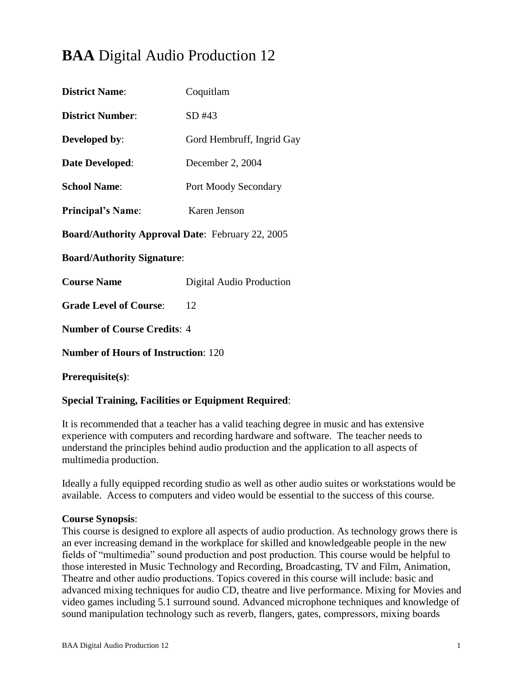# **BAA** Digital Audio Production 12

| <b>District Name:</b>                                   | Coquitlam                 |  |
|---------------------------------------------------------|---------------------------|--|
| <b>District Number:</b>                                 | SD #43                    |  |
| Developed by:                                           | Gord Hembruff, Ingrid Gay |  |
| Date Developed:                                         | December 2, 2004          |  |
| <b>School Name:</b>                                     | Port Moody Secondary      |  |
| <b>Principal's Name:</b>                                | Karen Jenson              |  |
| <b>Board/Authority Approval Date: February 22, 2005</b> |                           |  |
| <b>Board/Authority Signature:</b>                       |                           |  |
| <b>Course Name</b>                                      | Digital Audio Production  |  |
| <b>Grade Level of Course:</b>                           | 12                        |  |
| <b>Number of Course Credits: 4</b>                      |                           |  |
| <b>Number of Hours of Instruction: 120</b>              |                           |  |
| Prerequisite(s):                                        |                           |  |

# **Special Training, Facilities or Equipment Required**:

It is recommended that a teacher has a valid teaching degree in music and has extensive experience with computers and recording hardware and software. The teacher needs to understand the principles behind audio production and the application to all aspects of multimedia production.

Ideally a fully equipped recording studio as well as other audio suites or workstations would be available. Access to computers and video would be essential to the success of this course.

### **Course Synopsis**:

This course is designed to explore all aspects of audio production. As technology grows there is an ever increasing demand in the workplace for skilled and knowledgeable people in the new fields of "multimedia" sound production and post production. This course would be helpful to those interested in Music Technology and Recording, Broadcasting, TV and Film, Animation, Theatre and other audio productions. Topics covered in this course will include: basic and advanced mixing techniques for audio CD, theatre and live performance. Mixing for Movies and video games including 5.1 surround sound. Advanced microphone techniques and knowledge of sound manipulation technology such as reverb, flangers, gates, compressors, mixing boards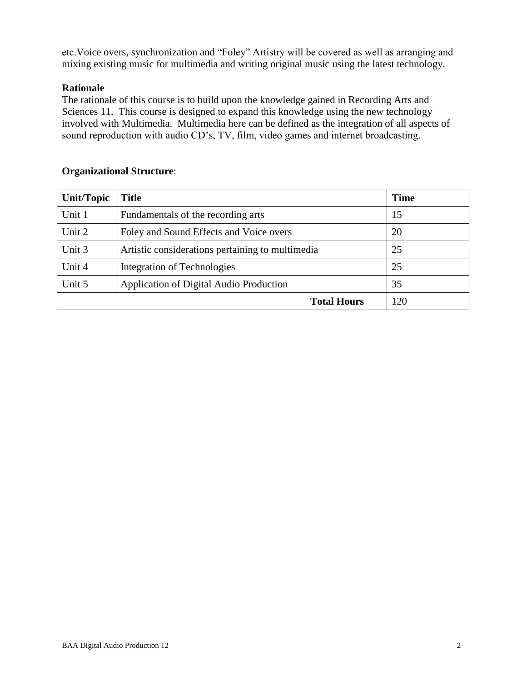etc.Voice overs, synchronization and "Foley" Artistry will be covered as well as arranging and mixing existing music for multimedia and writing original music using the latest technology.

# **Rationale**

The rationale of this course is to build upon the knowledge gained in Recording Arts and Sciences 11. This course is designed to expand this knowledge using the new technology involved with Multimedia. Multimedia here can be defined as the integration of all aspects of sound reproduction with audio CD's, TV, film, video games and internet broadcasting.

# **Organizational Structure**:

| <b>Unit/Topic</b>  | <b>Title</b>                                     | <b>Time</b> |
|--------------------|--------------------------------------------------|-------------|
| Unit 1             | Fundamentals of the recording arts               | 15          |
| Unit 2             | Foley and Sound Effects and Voice overs          | 20          |
| Unit 3             | Artistic considerations pertaining to multimedia | 25          |
| Unit 4             | Integration of Technologies                      | 25          |
| Unit 5             | Application of Digital Audio Production          | 35          |
| <b>Total Hours</b> |                                                  | 120         |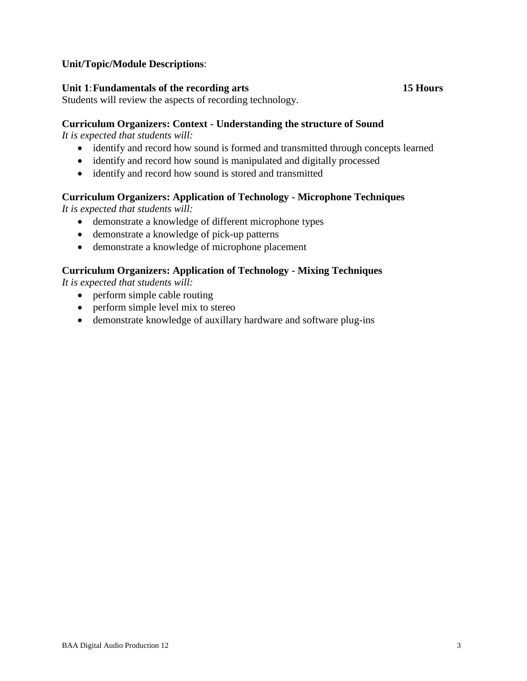# **Unit/Topic/Module Descriptions**:

#### **Unit 1**:**Fundamentals of the recording arts 15 Hours**

Students will review the aspects of recording technology.

#### **Curriculum Organizers: Context - Understanding the structure of Sound**

*It is expected that students will:*

- identify and record how sound is formed and transmitted through concepts learned
- identify and record how sound is manipulated and digitally processed
- identify and record how sound is stored and transmitted

### **Curriculum Organizers: Application of Technology - Microphone Techniques**

*It is expected that students will:*

- demonstrate a knowledge of different microphone types
- demonstrate a knowledge of pick-up patterns
- demonstrate a knowledge of microphone placement

# **Curriculum Organizers: Application of Technology - Mixing Techniques**

- perform simple cable routing
- perform simple level mix to stereo
- demonstrate knowledge of auxillary hardware and software plug-ins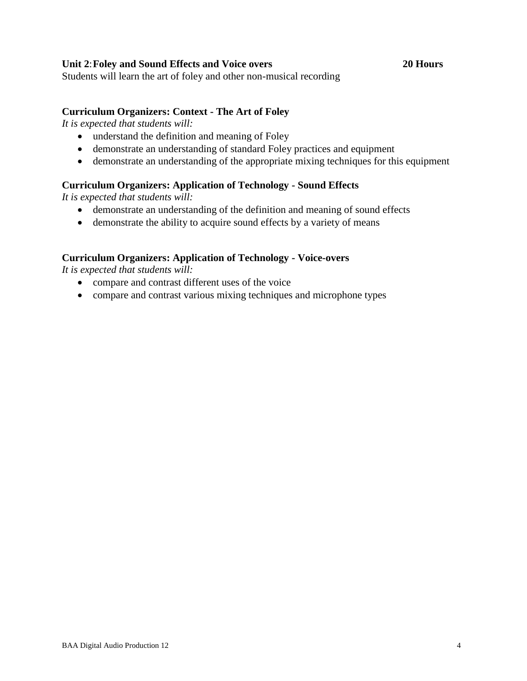### **Unit 2**:**Foley and Sound Effects and Voice overs 20 Hours**

Students will learn the art of foley and other non-musical recording

#### **Curriculum Organizers: Context - The Art of Foley**

*It is expected that students will:*

- understand the definition and meaning of Foley
- demonstrate an understanding of standard Foley practices and equipment
- demonstrate an understanding of the appropriate mixing techniques for this equipment

### **Curriculum Organizers: Application of Technology - Sound Effects**

*It is expected that students will:*

- demonstrate an understanding of the definition and meaning of sound effects
- demonstrate the ability to acquire sound effects by a variety of means

### **Curriculum Organizers: Application of Technology - Voice-overs**

- compare and contrast different uses of the voice
- compare and contrast various mixing techniques and microphone types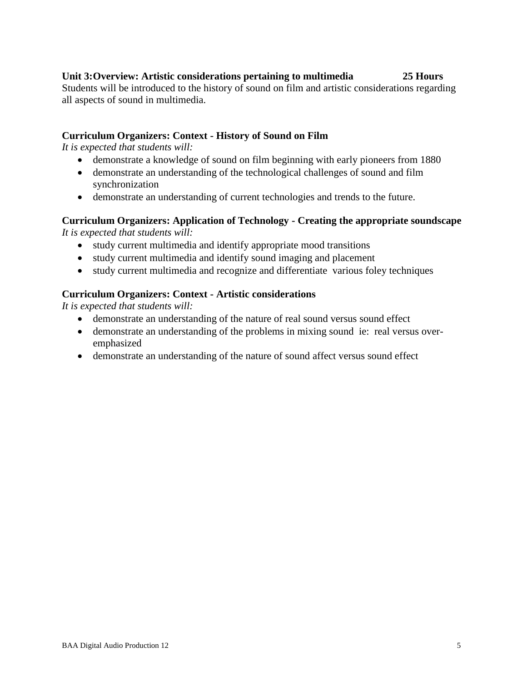# **Unit 3:Overview: Artistic considerations pertaining to multimedia 25 Hours**

Students will be introduced to the history of sound on film and artistic considerations regarding all aspects of sound in multimedia.

# **Curriculum Organizers: Context - History of Sound on Film**

*It is expected that students will:*

- demonstrate a knowledge of sound on film beginning with early pioneers from 1880
- demonstrate an understanding of the technological challenges of sound and film synchronization
- demonstrate an understanding of current technologies and trends to the future.

# **Curriculum Organizers: Application of Technology - Creating the appropriate soundscape**  *It is expected that students will:*

- study current multimedia and identify appropriate mood transitions
- study current multimedia and identify sound imaging and placement
- study current multimedia and recognize and differentiate various foley techniques

# **Curriculum Organizers: Context - Artistic considerations**

- demonstrate an understanding of the nature of real sound versus sound effect
- demonstrate an understanding of the problems in mixing sound ie: real versus overemphasized
- demonstrate an understanding of the nature of sound affect versus sound effect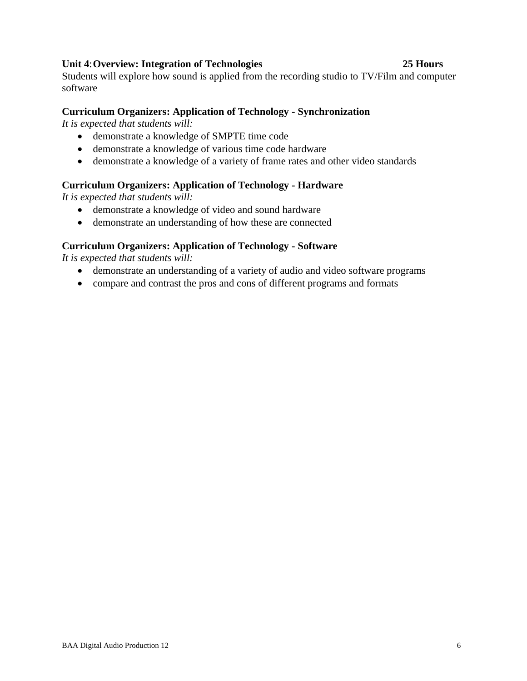# **Unit 4**:**Overview: Integration of Technologies 25 Hours**

Students will explore how sound is applied from the recording studio to TV/Film and computer software

# **Curriculum Organizers: Application of Technology - Synchronization**

*It is expected that students will:*

- demonstrate a knowledge of SMPTE time code
- demonstrate a knowledge of various time code hardware
- demonstrate a knowledge of a variety of frame rates and other video standards

# **Curriculum Organizers: Application of Technology - Hardware**

*It is expected that students will:*

- demonstrate a knowledge of video and sound hardware
- demonstrate an understanding of how these are connected

# **Curriculum Organizers: Application of Technology - Software**

- demonstrate an understanding of a variety of audio and video software programs
- compare and contrast the pros and cons of different programs and formats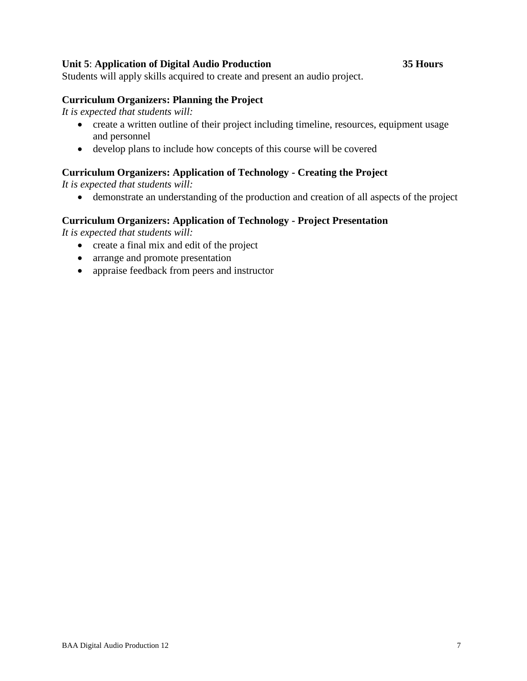### **Unit 5**: **Application of Digital Audio Production 35 Hours**

Students will apply skills acquired to create and present an audio project.

#### **Curriculum Organizers: Planning the Project**

*It is expected that students will:*

- create a written outline of their project including timeline, resources, equipment usage and personnel
- develop plans to include how concepts of this course will be covered

#### **Curriculum Organizers: Application of Technology - Creating the Project**

*It is expected that students will:*

demonstrate an understanding of the production and creation of all aspects of the project

#### **Curriculum Organizers: Application of Technology - Project Presentation**

- create a final mix and edit of the project
- arrange and promote presentation
- appraise feedback from peers and instructor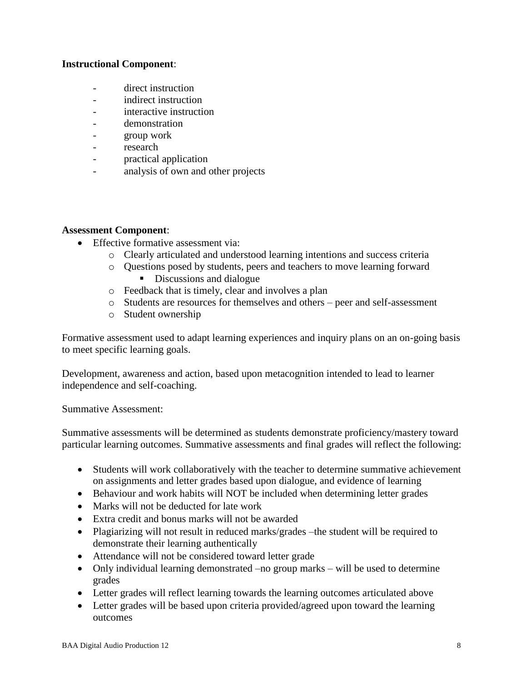# **Instructional Component**:

- direct instruction
- indirect instruction
- interactive instruction
- demonstration
- group work
- research
- practical application
- analysis of own and other projects

### **Assessment Component**:

- Effective formative assessment via:
	- o Clearly articulated and understood learning intentions and success criteria
	- o Questions posed by students, peers and teachers to move learning forward Discussions and dialogue
	- o Feedback that is timely, clear and involves a plan
	- o Students are resources for themselves and others peer and self-assessment
	- o Student ownership

Formative assessment used to adapt learning experiences and inquiry plans on an on-going basis to meet specific learning goals.

Development, awareness and action, based upon metacognition intended to lead to learner independence and self-coaching.

Summative Assessment:

Summative assessments will be determined as students demonstrate proficiency/mastery toward particular learning outcomes. Summative assessments and final grades will reflect the following:

- Students will work collaboratively with the teacher to determine summative achievement on assignments and letter grades based upon dialogue, and evidence of learning
- Behaviour and work habits will NOT be included when determining letter grades
- Marks will not be deducted for late work
- Extra credit and bonus marks will not be awarded
- Plagiarizing will not result in reduced marks/grades –the student will be required to demonstrate their learning authentically
- Attendance will not be considered toward letter grade
- Only individual learning demonstrated –no group marks will be used to determine grades
- Letter grades will reflect learning towards the learning outcomes articulated above
- Letter grades will be based upon criteria provided/agreed upon toward the learning outcomes